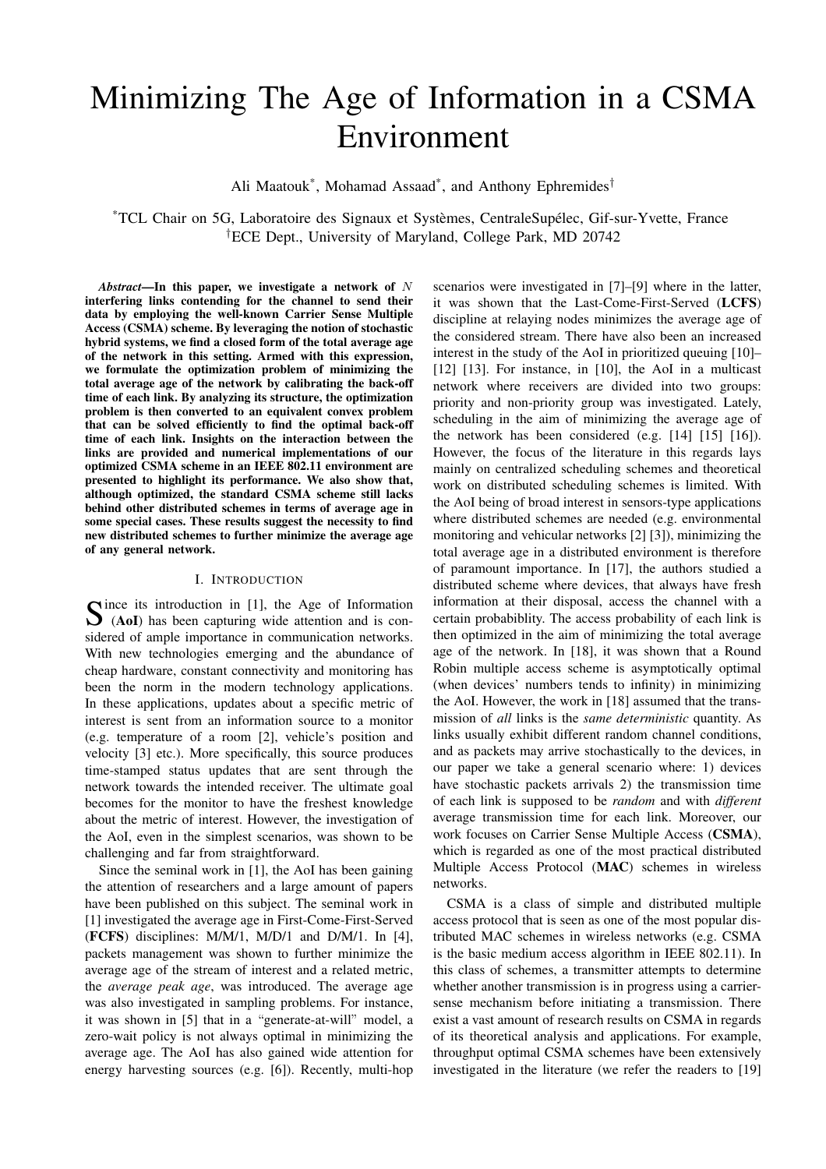# Minimizing The Age of Information in a CSMA Environment

Ali Maatouk\*, Mohamad Assaad\*, and Anthony Ephremides<sup>†</sup>

\*TCL Chair on 5G, Laboratoire des Signaux et Systèmes, CentraleSupélec, Gif-sur-Yvette, France †ECE Dept., University of Maryland, College Park, MD 20742

*Abstract*—In this paper, we investigate a network of N interfering links contending for the channel to send their data by employing the well-known Carrier Sense Multiple Access (CSMA) scheme. By leveraging the notion of stochastic hybrid systems, we find a closed form of the total average age of the network in this setting. Armed with this expression, we formulate the optimization problem of minimizing the total average age of the network by calibrating the back-off time of each link. By analyzing its structure, the optimization problem is then converted to an equivalent convex problem that can be solved efficiently to find the optimal back-off time of each link. Insights on the interaction between the links are provided and numerical implementations of our optimized CSMA scheme in an IEEE 802.11 environment are presented to highlight its performance. We also show that, although optimized, the standard CSMA scheme still lacks behind other distributed schemes in terms of average age in some special cases. These results suggest the necessity to find new distributed schemes to further minimize the average age of any general network.

#### I. INTRODUCTION

Since its introduction in [1], the Age of Information<br>
(AoI) has been capturing wide attention and is con-(AoI) has been capturing wide attention and is considered of ample importance in communication networks. With new technologies emerging and the abundance of cheap hardware, constant connectivity and monitoring has been the norm in the modern technology applications. In these applications, updates about a specific metric of interest is sent from an information source to a monitor (e.g. temperature of a room [2], vehicle's position and velocity [3] etc.). More specifically, this source produces time-stamped status updates that are sent through the network towards the intended receiver. The ultimate goal becomes for the monitor to have the freshest knowledge about the metric of interest. However, the investigation of the AoI, even in the simplest scenarios, was shown to be challenging and far from straightforward.

Since the seminal work in [1], the AoI has been gaining the attention of researchers and a large amount of papers have been published on this subject. The seminal work in [1] investigated the average age in First-Come-First-Served (FCFS) disciplines: M/M/1, M/D/1 and D/M/1. In [4], packets management was shown to further minimize the average age of the stream of interest and a related metric, the *average peak age*, was introduced. The average age was also investigated in sampling problems. For instance, it was shown in [5] that in a "generate-at-will" model, a zero-wait policy is not always optimal in minimizing the average age. The AoI has also gained wide attention for energy harvesting sources (e.g. [6]). Recently, multi-hop

scenarios were investigated in [7]–[9] where in the latter, it was shown that the Last-Come-First-Served (LCFS) discipline at relaying nodes minimizes the average age of the considered stream. There have also been an increased interest in the study of the AoI in prioritized queuing [10]– [12] [13]. For instance, in [10], the AoI in a multicast network where receivers are divided into two groups: priority and non-priority group was investigated. Lately, scheduling in the aim of minimizing the average age of the network has been considered (e.g. [14] [15] [16]). However, the focus of the literature in this regards lays mainly on centralized scheduling schemes and theoretical work on distributed scheduling schemes is limited. With the AoI being of broad interest in sensors-type applications where distributed schemes are needed (e.g. environmental monitoring and vehicular networks [2] [3]), minimizing the total average age in a distributed environment is therefore of paramount importance. In [17], the authors studied a distributed scheme where devices, that always have fresh information at their disposal, access the channel with a certain probabiblity. The access probability of each link is then optimized in the aim of minimizing the total average age of the network. In [18], it was shown that a Round Robin multiple access scheme is asymptotically optimal (when devices' numbers tends to infinity) in minimizing the AoI. However, the work in [18] assumed that the transmission of *all* links is the *same deterministic* quantity. As links usually exhibit different random channel conditions, and as packets may arrive stochastically to the devices, in our paper we take a general scenario where: 1) devices have stochastic packets arrivals 2) the transmission time of each link is supposed to be *random* and with *different* average transmission time for each link. Moreover, our work focuses on Carrier Sense Multiple Access (CSMA), which is regarded as one of the most practical distributed Multiple Access Protocol (MAC) schemes in wireless networks.

CSMA is a class of simple and distributed multiple access protocol that is seen as one of the most popular distributed MAC schemes in wireless networks (e.g. CSMA is the basic medium access algorithm in IEEE 802.11). In this class of schemes, a transmitter attempts to determine whether another transmission is in progress using a carriersense mechanism before initiating a transmission. There exist a vast amount of research results on CSMA in regards of its theoretical analysis and applications. For example, throughput optimal CSMA schemes have been extensively investigated in the literature (we refer the readers to [19]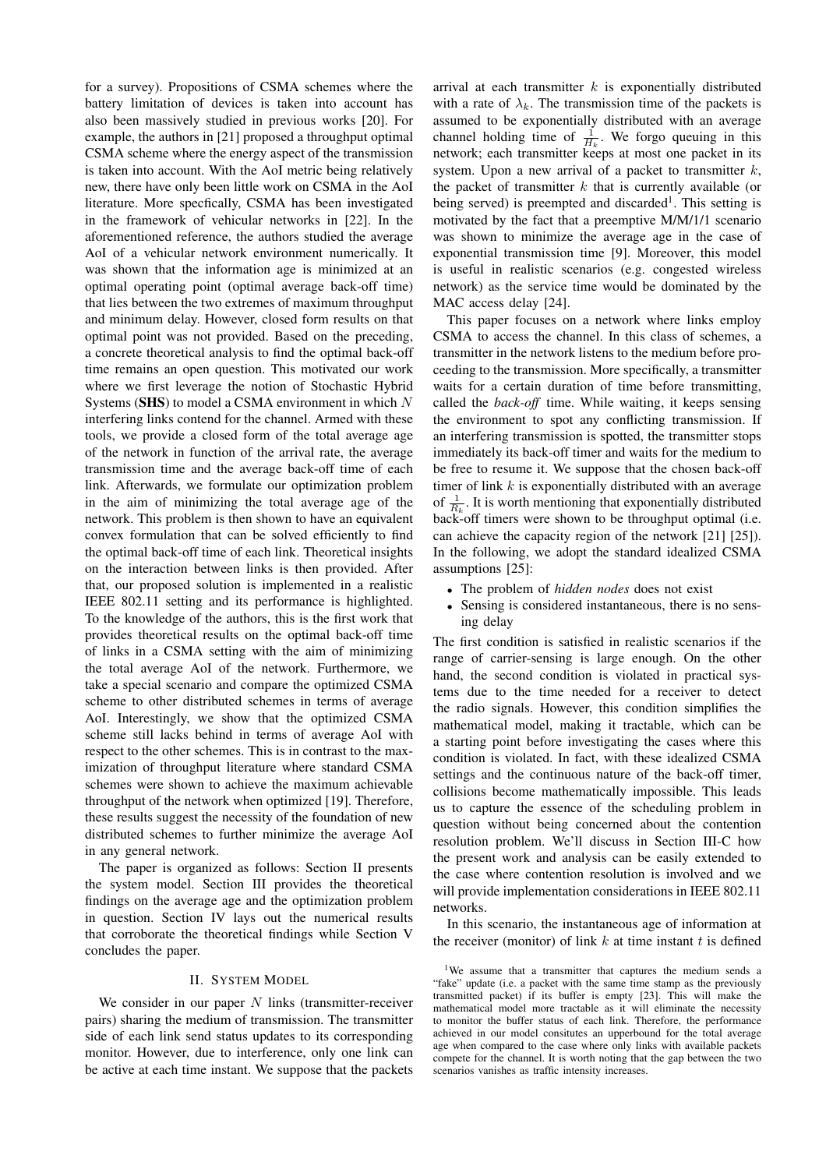for a survey). Propositions of CSMA schemes where the battery limitation of devices is taken into account has also been massively studied in previous works [20]. For example, the authors in [21] proposed a throughput optimal CSMA scheme where the energy aspect of the transmission is taken into account. With the AoI metric being relatively new, there have only been little work on CSMA in the AoI literature. More specfically, CSMA has been investigated in the framework of vehicular networks in [22]. In the aforementioned reference, the authors studied the average AoI of a vehicular network environment numerically. It was shown that the information age is minimized at an optimal operating point (optimal average back-off time) that lies between the two extremes of maximum throughput and minimum delay. However, closed form results on that optimal point was not provided. Based on the preceding, a concrete theoretical analysis to find the optimal back-off time remains an open question. This motivated our work where we first leverage the notion of Stochastic Hybrid Systems (SHS) to model a CSMA environment in which  $N$ interfering links contend for the channel. Armed with these tools, we provide a closed form of the total average age of the network in function of the arrival rate, the average transmission time and the average back-off time of each link. Afterwards, we formulate our optimization problem in the aim of minimizing the total average age of the network. This problem is then shown to have an equivalent convex formulation that can be solved efficiently to find the optimal back-off time of each link. Theoretical insights on the interaction between links is then provided. After that, our proposed solution is implemented in a realistic IEEE 802.11 setting and its performance is highlighted. To the knowledge of the authors, this is the first work that provides theoretical results on the optimal back-off time of links in a CSMA setting with the aim of minimizing the total average AoI of the network. Furthermore, we take a special scenario and compare the optimized CSMA scheme to other distributed schemes in terms of average AoI. Interestingly, we show that the optimized CSMA scheme still lacks behind in terms of average AoI with respect to the other schemes. This is in contrast to the maximization of throughput literature where standard CSMA schemes were shown to achieve the maximum achievable throughput of the network when optimized [19]. Therefore, these results suggest the necessity of the foundation of new distributed schemes to further minimize the average AoI in any general network.

The paper is organized as follows: Section II presents the system model. Section III provides the theoretical findings on the average age and the optimization problem in question. Section IV lays out the numerical results that corroborate the theoretical findings while Section V concludes the paper.

#### II. SYSTEM MODEL

We consider in our paper  $N$  links (transmitter-receiver pairs) sharing the medium of transmission. The transmitter side of each link send status updates to its corresponding monitor. However, due to interference, only one link can be active at each time instant. We suppose that the packets

arrival at each transmitter  $k$  is exponentially distributed with a rate of  $\lambda_k$ . The transmission time of the packets is assumed to be exponentially distributed with an average channel holding time of  $\frac{1}{H_k}$ . We forgo queuing in this network; each transmitter keeps at most one packet in its system. Upon a new arrival of a packet to transmitter  $k$ , the packet of transmitter  $k$  that is currently available (or being served) is preempted and discarded<sup>1</sup>. This setting is motivated by the fact that a preemptive M/M/1/1 scenario was shown to minimize the average age in the case of exponential transmission time [9]. Moreover, this model is useful in realistic scenarios (e.g. congested wireless network) as the service time would be dominated by the MAC access delay [24].

This paper focuses on a network where links employ CSMA to access the channel. In this class of schemes, a transmitter in the network listens to the medium before proceeding to the transmission. More specifically, a transmitter waits for a certain duration of time before transmitting, called the *back-off* time. While waiting, it keeps sensing the environment to spot any conflicting transmission. If an interfering transmission is spotted, the transmitter stops immediately its back-off timer and waits for the medium to be free to resume it. We suppose that the chosen back-off timer of link  $k$  is exponentially distributed with an average of  $\frac{1}{R_k}$ . It is worth mentioning that exponentially distributed back-off timers were shown to be throughput optimal (i.e. can achieve the capacity region of the network [21] [25]). In the following, we adopt the standard idealized CSMA assumptions [25]:

- The problem of *hidden nodes* does not exist
- Sensing is considered instantaneous, there is no sensing delay

The first condition is satisfied in realistic scenarios if the range of carrier-sensing is large enough. On the other hand, the second condition is violated in practical systems due to the time needed for a receiver to detect the radio signals. However, this condition simplifies the mathematical model, making it tractable, which can be a starting point before investigating the cases where this condition is violated. In fact, with these idealized CSMA settings and the continuous nature of the back-off timer, collisions become mathematically impossible. This leads us to capture the essence of the scheduling problem in question without being concerned about the contention resolution problem. We'll discuss in Section III-C how the present work and analysis can be easily extended to the case where contention resolution is involved and we will provide implementation considerations in IEEE 802.11 networks.

In this scenario, the instantaneous age of information at the receiver (monitor) of link  $k$  at time instant  $t$  is defined

<sup>&</sup>lt;sup>1</sup>We assume that a transmitter that captures the medium sends a "fake" update (i.e. a packet with the same time stamp as the previously transmitted packet) if its buffer is empty [23]. This will make the mathematical model more tractable as it will eliminate the necessity to monitor the buffer status of each link. Therefore, the performance achieved in our model consitutes an upperbound for the total average age when compared to the case where only links with available packets compete for the channel. It is worth noting that the gap between the two scenarios vanishes as traffic intensity increases.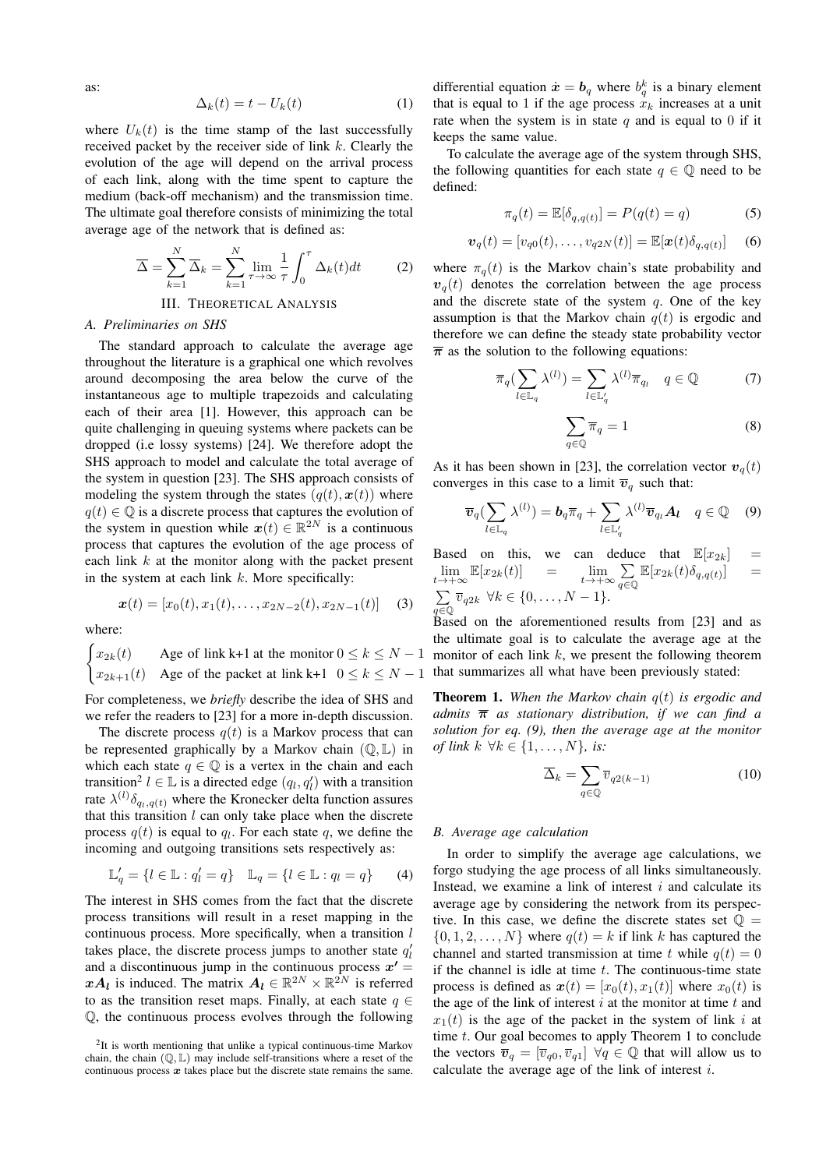as:

$$
\Delta_k(t) = t - U_k(t) \tag{1}
$$

where  $U_k(t)$  is the time stamp of the last successfully received packet by the receiver side of link k. Clearly the evolution of the age will depend on the arrival process of each link, along with the time spent to capture the medium (back-off mechanism) and the transmission time. The ultimate goal therefore consists of minimizing the total average age of the network that is defined as:

$$
\overline{\Delta} = \sum_{k=1}^{N} \overline{\Delta}_k = \sum_{k=1}^{N} \lim_{\tau \to \infty} \frac{1}{\tau} \int_0^{\tau} \Delta_k(t) dt \qquad (2)
$$

### III. THEORETICAL ANALYSIS

#### *A. Preliminaries on SHS*

The standard approach to calculate the average age throughout the literature is a graphical one which revolves around decomposing the area below the curve of the instantaneous age to multiple trapezoids and calculating each of their area [1]. However, this approach can be quite challenging in queuing systems where packets can be dropped (i.e lossy systems) [24]. We therefore adopt the SHS approach to model and calculate the total average of the system in question [23]. The SHS approach consists of modeling the system through the states  $(q(t), x(t))$  where  $q(t) \in \mathbb{Q}$  is a discrete process that captures the evolution of the system in question while  $x(t) \in \mathbb{R}^{2N}$  is a continuous process that captures the evolution of the age process of each link  $k$  at the monitor along with the packet present in the system at each link  $k$ . More specifically:

$$
\boldsymbol{x}(t) = [x_0(t), x_1(t), \dots, x_{2N-2}(t), x_{2N-1}(t)] \quad (3)
$$

where:

$$
\begin{cases} x_{2k}(t) & \text{Age of link k+1 at the monitor } 0 \le k \le N-1\\ x_{2k+1}(t) & \text{Age of the packet at link k+1 } 0 \le k \le N-1 \end{cases}
$$

For completeness, we *briefly* describe the idea of SHS and we refer the readers to [23] for a more in-depth discussion.

The discrete process  $q(t)$  is a Markov process that can be represented graphically by a Markov chain  $(\mathbb{Q}, \mathbb{L})$  in which each state  $q \in \mathbb{Q}$  is a vertex in the chain and each transition<sup>2</sup>  $l \in \mathbb{L}$  is a directed edge  $(q_l, q'_l)$  with a transition rate  $\lambda^{(l)}\delta_{q_l,q(t)}$  where the Kronecker delta function assures that this transition  $l$  can only take place when the discrete process  $q(t)$  is equal to  $q_l$ . For each state  $q$ , we define the incoming and outgoing transitions sets respectively as:

$$
\mathbb{L}'_q = \{l \in \mathbb{L} : q'_l = q\} \quad \mathbb{L}_q = \{l \in \mathbb{L} : q_l = q\} \tag{4}
$$

The interest in SHS comes from the fact that the discrete process transitions will result in a reset mapping in the continuous process. More specifically, when a transition  $l$ takes place, the discrete process jumps to another state  $q_l'$ and a discontinuous jump in the continuous process  $x' =$  $xA_l$  is induced. The matrix  $A_l \in \mathbb{R}^{2N} \times \mathbb{R}^{2N}$  is referred to as the transition reset maps. Finally, at each state  $q \in$ Q, the continuous process evolves through the following

differential equation  $\dot{x} = b_q$  where  $b_q^k$  is a binary element that is equal to 1 if the age process  $x_k$  increases at a unit rate when the system is in state q and is equal to 0 if it keeps the same value.

To calculate the average age of the system through SHS, the following quantities for each state  $q \in \mathbb{Q}$  need to be defined:

$$
\pi_q(t) = \mathbb{E}[\delta_{q,q(t)}] = P(q(t) = q)
$$
\n(5)

$$
\boldsymbol{v}_q(t) = [v_{q0}(t), \dots, v_{q2N}(t)] = \mathbb{E}[\boldsymbol{x}(t)\delta_{q,q(t)}] \quad (6)
$$

where  $\pi_q(t)$  is the Markov chain's state probability and  $v<sub>q</sub>(t)$  denotes the correlation between the age process and the discrete state of the system  $q$ . One of the key assumption is that the Markov chain  $q(t)$  is ergodic and therefore we can define the steady state probability vector  $\overline{\pi}$  as the solution to the following equations:

$$
\overline{\pi}_q \left( \sum_{l \in \mathbb{L}_q} \lambda^{(l)} \right) = \sum_{l \in \mathbb{L}'_q} \lambda^{(l)} \overline{\pi}_{q_l} \quad q \in \mathbb{Q} \tag{7}
$$

$$
\sum_{q \in \mathbb{Q}} \overline{\pi}_q = 1 \tag{8}
$$

As it has been shown in [23], the correlation vector  $v_a(t)$ converges in this case to a limit  $\overline{v}_q$  such that:

$$
\overline{v}_q(\sum_{l\in\mathbb{L}_q}\lambda^{(l)})=b_q\overline{\pi}_q+\sum_{l\in\mathbb{L}'_q}\lambda^{(l)}\overline{v}_{q_l}A_l\quad q\in\mathbb{Q}\quad (9)
$$

Based on this, we can deduce that  $\mathbb{E}[x_{2k}]$  =  $\lim_{t \to +\infty} \mathbb{E}[x_{2k}(t)] = \lim_{t \to +\infty} \sum_{a \in \mathbb{C}}$  $\sum_{q\in\mathbb{Q}}\mathbb{E}[x_{2k}(t)\delta_{q,q(t)}]$  $=$  $\sum$  $\sum_{q \in \mathbb{Q}} \overline{v}_{q2k} \ \forall k \in \{0, \ldots, N-1\}.$ 

Based on the aforementioned results from [23] and as the ultimate goal is to calculate the average age at the monitor of each link  $k$ , we present the following theorem that summarizes all what have been previously stated:

Theorem 1. *When the Markov chain* q(t) *is ergodic and admits*  $\bar{\pi}$  *as stationary distribution, if we can find a solution for eq. (9), then the average age at the monitor of link*  $k \ \forall k \in \{1, \ldots, N\}$ *, is:* 

$$
\overline{\Delta}_k = \sum_{q \in \mathbb{Q}} \overline{v}_{q2(k-1)} \tag{10}
$$

#### *B. Average age calculation*

In order to simplify the average age calculations, we forgo studying the age process of all links simultaneously. Instead, we examine a link of interest  $i$  and calculate its average age by considering the network from its perspective. In this case, we define the discrete states set  $\mathbb{O} =$  $\{0, 1, 2, \ldots, N\}$  where  $q(t) = k$  if link k has captured the channel and started transmission at time t while  $q(t) = 0$ if the channel is idle at time  $t$ . The continuous-time state process is defined as  $x(t) = [x_0(t), x_1(t)]$  where  $x_0(t)$  is the age of the link of interest  $i$  at the monitor at time  $t$  and  $x_1(t)$  is the age of the packet in the system of link i at time t. Our goal becomes to apply Theorem 1 to conclude the vectors  $\overline{v}_q = [\overline{v}_{q0}, \overline{v}_{q1}] \ \forall q \in \mathbb{Q}$  that will allow us to calculate the average age of the link of interest i.

 $2$ It is worth mentioning that unlike a typical continuous-time Markov chain, the chain  $(\mathbb{Q}, \mathbb{L})$  may include self-transitions where a reset of the continuous process  $x$  takes place but the discrete state remains the same.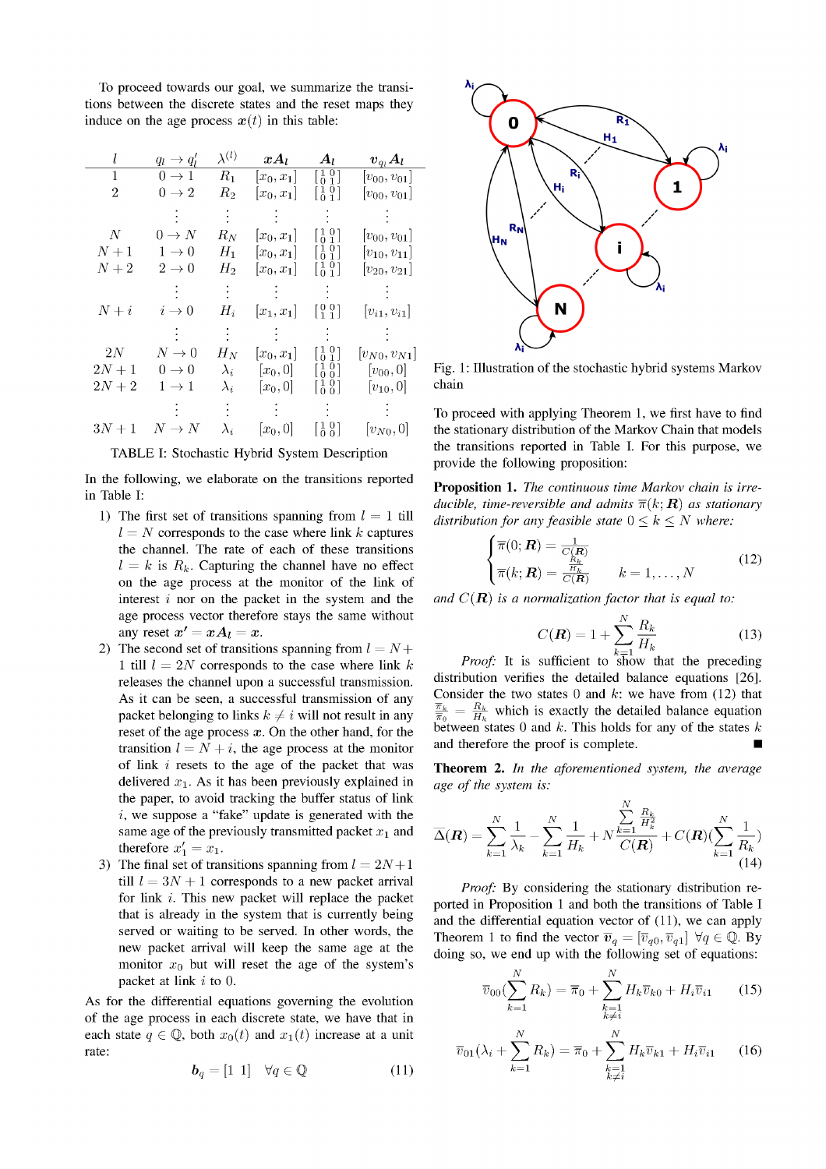To proceed towards our goal, we summarize the transitions between the discrete states and the reset maps they induce on the age process  $x(t)$  in this table:

| l              | $q_l \rightarrow q'_l$ | $\lambda^{(l)}$              | $xA_l$       | $A_l$                                                               | $\bm{v}_{q_l}\bm{A_l}$ |
|----------------|------------------------|------------------------------|--------------|---------------------------------------------------------------------|------------------------|
| $\mathbf{1}$   | $0 \rightarrow 1$      | $R_1$                        | $[x_0,x_1]$  | $\left[\begin{smallmatrix} 1 & 0 \\ 0 & 1 \end{smallmatrix}\right]$ | $[v_{00}, v_{01}]$     |
| $\overline{2}$ | $0 \rightarrow 2$      | $R_2$                        | $ x_0, x_1 $ | $\left[\begin{smallmatrix} 1 & 0 \\ 0 & 1 \end{smallmatrix}\right]$ | $[v_{00}, v_{01}]$     |
|                |                        | $\sim$                       |              |                                                                     |                        |
| $N_{-}$        | $0 \to N$              | $R_N$                        | $[x_0,x_1]$  | $\left[\begin{smallmatrix}1&0\\0&1\end{smallmatrix}\right]$         | $ v_{00}, v_{01} $     |
| $N+1$          | $1 \rightarrow 0$      | $H_1$                        | $[x_0,x_1]$  | $\left[\begin{smallmatrix} 1 & 0 \\ 0 & 1 \end{smallmatrix}\right]$ | $ v_{10}, v_{11} $     |
| $N+2$          | $2 \rightarrow 0$      | $H_2$                        | $ x_0, x_1 $ | $\begin{bmatrix} 1 & 0 \\ 0 & 1 \end{bmatrix}$                      | $[v_{20}, v_{21}]$     |
|                |                        | $\mathcal{L}_{\mathrm{max}}$ |              | $\mathcal{L}(\mathcal{L})$                                          |                        |
| $N+i$          | $i \rightarrow 0$      | $H_i$                        | $ x_1,x_1 $  | $\left[\begin{smallmatrix} 0 & 0 \\ 1 & 1 \end{smallmatrix}\right]$ | $[v_{i1}, v_{i1}]$     |
|                |                        |                              |              |                                                                     |                        |
| $2N_{-}$       | $N\rightarrow 0$       | $H_N$                        | $ x_0, x_1 $ | $\left[\begin{smallmatrix}1&0\\0&1\end{smallmatrix}\right]$         | $[v_{N0}, v_{N1}]$     |
| $2N+1$         | $0 \rightarrow 0$      | $\lambda_i$                  | $[x_0,0]$    | $[\begin{smallmatrix} 1 & 0 \\ 0 & 0 \end{smallmatrix}]$            | $[v_{00}, 0]$          |
| $2N+2$         | $1 \rightarrow 1$      | $\lambda_i$                  | $[x_0, 0]$   | $\left[\begin{smallmatrix}1&0\\0&0\end{smallmatrix}\right]$         | $[v_{10}, 0]$          |
|                |                        |                              |              | $\mathcal{L}^{\text{max}}_{\text{max}}$                             |                        |
| $3N+1$         | $N \to N$              | $\lambda_i$                  | $[x_0,0]$    | $\left[\begin{smallmatrix} 1 & 0 \\ 0 & 0 \end{smallmatrix}\right]$ | $ v_{N0},0 $           |

TABLE I: Stochastic Hybrid System Description

In the following, we elaborate on the transitions reported in Table I:

- 1) The first set of transitions spanning from  $l = 1$  till  $l = N$  corresponds to the case where link k captures the channel. The rate of each of these transitions  $l = k$  is  $R_k$ . Capturing the channel have no effect on the age process at the monitor of the link of interest  $i$  nor on the packet in the system and the age process vector therefore stays the same without any reset  $x' = xA_l = x$ .
- 2) The second set of transitions spanning from  $l = N +$ 1 till  $l = 2N$  corresponds to the case where link k releases the channel upon a successful transmission. As it can be seen, a successful transmission of any packet belonging to links  $k \neq i$  will not result in any reset of the age process  $x$ . On the other hand, for the transition  $l = N + i$ , the age process at the monitor of link  $i$  resets to the age of the packet that was delivered  $x_1$ . As it has been previously explained in the paper, to avoid tracking the buffer status of link *i*, we suppose a "fake" update is generated with the same age of the previously transmitted packet  $x_1$  and therefore  $x'_1 = x_1$ .
- 3) The final set of transitions spanning from  $l = 2N+1$ till  $l = 3N + 1$  corresponds to a new packet arrival for link  $i$ . This new packet will replace the packet that is already in the system that is currently being served or waiting to be served. In other words, the new packet arrival will keep the same age at the monitor  $x_0$  but will reset the age of the system's packet at link  $i$  to 0.

As for the differential equations governing the evolution of the age process in each discrete state, we have that in each state  $q \in \mathbb{Q}$ , both  $x_0(t)$  and  $x_1(t)$  increase at a unit rate:

$$
\boldsymbol{b}_q = [1 \ 1] \quad \forall q \in \mathbb{Q} \tag{11}
$$



Fig. 1: Illustration of the stochastic hybrid systems Markov chain

To proceed with applying Theorem 1, we first have to find the stationary distribution of the Markov Chain that models the transitions reported in Table I. For this purpose, we provide the following proposition:

**Proposition 1.** The continuous time Markov chain is irreducible, time-reversible and admits  $\overline{\pi}(k; \mathbf{R})$  as stationary distribution for any feasible state  $0 \leq k \leq N$  where:

$$
\begin{cases}\n\overline{\pi}(0; \mathbf{R}) = \frac{1}{C(\mathbf{R})} \\
\overline{\pi}(k; \mathbf{R}) = \frac{\frac{R_k}{R_k}}{C(\mathbf{R})} \qquad k = 1, \dots, N\n\end{cases}
$$
\n(12)

and  $C(\mathbf{R})$  is a normalization factor that is equal to:

$$
C(\mathbf{R}) = 1 + \sum_{k=1}^{N} \frac{R_k}{H_k}
$$
 (13)

*Proof:* It is sufficient to  $\overline{s}$ how that the preceding distribution verifies the detailed balance equations [26]. Consider the two states 0 and  $k$ : we have from (12) that  $\frac{\overline{\pi}_k}{\overline{\pi}_0} = \frac{R_k}{H_k}$  which is exactly the detailed balance equation between states 0 and k. This holds for any of the states k and therefore the proof is complete.

**Theorem 2.** In the aforementioned system, the average age of the system is:

$$
\overline{\Delta}(\mathbf{R}) = \sum_{k=1}^{N} \frac{1}{\lambda_k} - \sum_{k=1}^{N} \frac{1}{H_k} + N \frac{\sum_{k=1}^{N} \frac{R_k}{H_k^2}}{C(\mathbf{R})} + C(\mathbf{R}) (\sum_{k=1}^{N} \frac{1}{R_k})
$$
(14)

Proof: By considering the stationary distribution reported in Proposition 1 and both the transitions of Table I and the differential equation vector of  $(11)$ , we can apply Theorem 1 to find the vector  $\overline{v}_q = [\overline{v}_{q0}, \overline{v}_{q1}] \ \forall q \in \mathbb{Q}$ . By doing so, we end up with the following set of equations:

$$
\overline{v}_{00}(\sum_{k=1}^{N} R_{k}) = \overline{\pi}_{0} + \sum_{\substack{k=1\\k \neq i}}^{N} H_{k} \overline{v}_{k0} + H_{i} \overline{v}_{i1}
$$
 (15)

$$
\overline{v}_{01}(\lambda_i + \sum_{k=1}^{N} R_k) = \overline{\pi}_0 + \sum_{\substack{k=1\\k \neq i}}^{N} H_k \overline{v}_{k1} + H_i \overline{v}_{i1} \qquad (16)
$$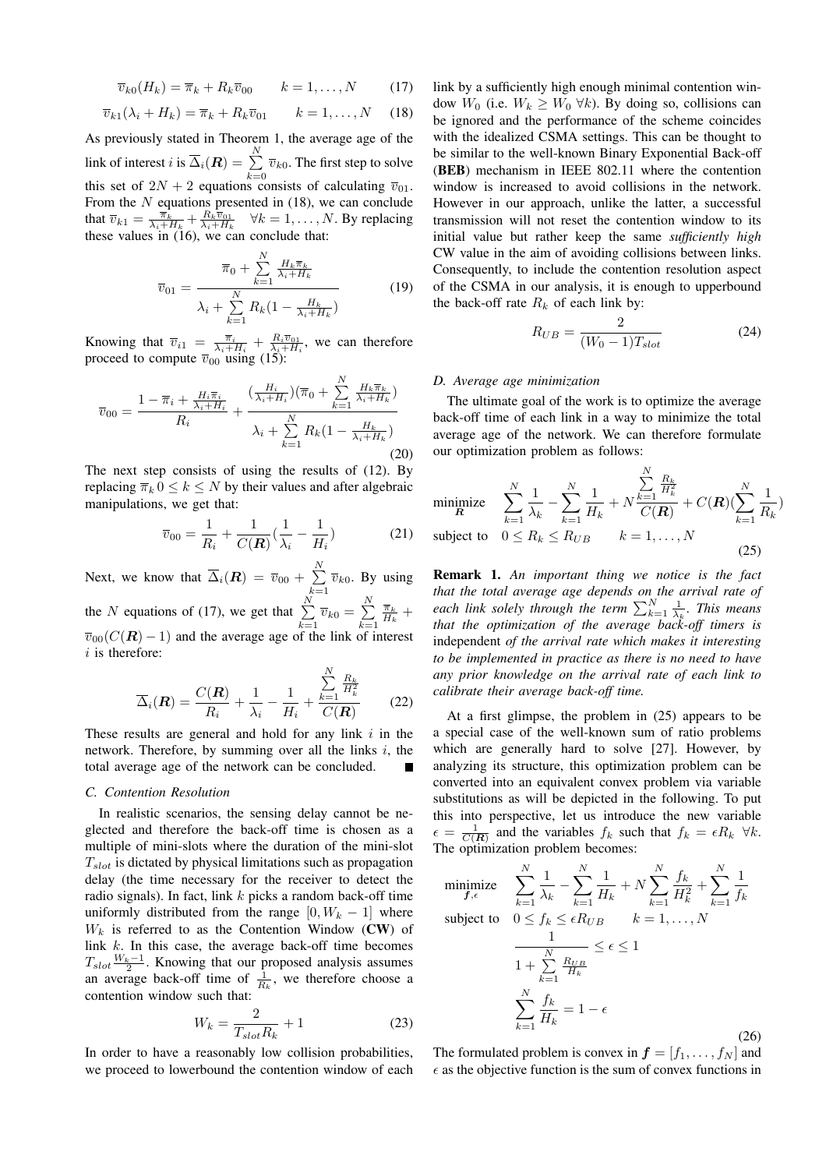$$
\overline{v}_{k0}(H_k) = \overline{\pi}_k + R_k \overline{v}_{00} \qquad k = 1, \dots, N \qquad (17)
$$

$$
\overline{v}_{k1}(\lambda_i + H_k) = \overline{\pi}_k + R_k \overline{v}_{01} \qquad k = 1, \dots, N \quad (18)
$$

As previously stated in Theorem 1, the average age of the link of interest  $i$  is  $\overline{\Delta}_i(\boldsymbol{R})=\sum^{N}$  $\sum_{k=0}$   $\overline{v}_{k0}$ . The first step to solve this set of  $2N + 2$  equations consists of calculating  $\overline{v}_{01}$ . From the  $N$  equations presented in (18), we can conclude that  $\overline{v}_{k1} = \frac{\overline{\pi}_k}{\lambda_i + H_k} + \frac{R_k \overline{v}_{01}}{\lambda_i + H_k} \quad \forall k = 1, \dots, N$ . By replacing these values in (16), we can conclude that:

$$
\overline{v}_{01} = \frac{\overline{\pi}_0 + \sum_{k=1}^{N} \frac{H_k \overline{\pi}_k}{\lambda_i + H_k}}{\lambda_i + \sum_{k=1}^{N} R_k (1 - \frac{H_k}{\lambda_i + H_k})}
$$
(19)

Knowing that  $\overline{v}_{i1} = \frac{\overline{\pi}_i}{\lambda_i + H_i} + \frac{R_i \overline{v}_{01}}{\lambda_i + H_i}$ , we can therefore proceed to compute  $\overline{v}_{00}$  using (15):

$$
\overline{v}_{00} = \frac{1 - \overline{\pi}_i + \frac{H_i \overline{\pi}_i}{\lambda_i + H_i}}{R_i} + \frac{(\frac{H_i}{\lambda_i + H_i})(\overline{\pi}_0 + \sum_{k=1}^N \frac{H_k \overline{\pi}_k}{\lambda_i + H_k})}{\lambda_i + \sum_{k=1}^N R_k (1 - \frac{H_k}{\lambda_i + H_k})}
$$
(20)

The next step consists of using the results of (12). By replacing  $\overline{\pi}_k$   $0 \leq k \leq N$  by their values and after algebraic manipulations, we get that:

$$
\overline{v}_{00} = \frac{1}{R_i} + \frac{1}{C(R)} \left( \frac{1}{\lambda_i} - \frac{1}{H_i} \right) \tag{21}
$$

Next, we know that  $\overline{\Delta}_i(R) = \overline{v}_{00} + \sum^N$  $\sum_{k=1}$   $\overline{v}_{k0}$ . By using the N equations of (17), we get that  $\sum_{i=1}^{N}$  $\sum_{k=1}^N \overline{v}_{k0} = \sum_{k=1}^N$  $k=1$  $\frac{\overline{\pi}_k}{H_k}$  +  $\overline{v}_{00}(C(\boldsymbol{R}) - 1)$  and the average age of the link of interest  $i$  is therefore:

$$
\overline{\Delta}_i(\boldsymbol{R}) = \frac{C(\boldsymbol{R})}{R_i} + \frac{1}{\lambda_i} - \frac{1}{H_i} + \frac{\sum\limits_{k=1}^N \frac{R_k}{H_k^2}}{C(\boldsymbol{R})}
$$
(22)

These results are general and hold for any link  $i$  in the network. Therefore, by summing over all the links  $i$ , the total average age of the network can be concluded.

#### *C. Contention Resolution*

In realistic scenarios, the sensing delay cannot be neglected and therefore the back-off time is chosen as a multiple of mini-slots where the duration of the mini-slot  $T_{slot}$  is dictated by physical limitations such as propagation delay (the time necessary for the receiver to detect the radio signals). In fact, link  $k$  picks a random back-off time uniformly distributed from the range  $[0, W_k - 1]$  where  $W_k$  is referred to as the Contention Window (CW) of link  $k$ . In this case, the average back-off time becomes  $T_{slot} \frac{W_k-1}{2}$ . Knowing that our proposed analysis assumes an average back-off time of  $\frac{1}{R_k}$ , we therefore choose a contention window such that:

$$
W_k = \frac{2}{T_{slot}R_k} + 1\tag{23}
$$

In order to have a reasonably low collision probabilities, we proceed to lowerbound the contention window of each link by a sufficiently high enough minimal contention window  $W_0$  (i.e.  $W_k \geq W_0 \ \forall k$ ). By doing so, collisions can be ignored and the performance of the scheme coincides with the idealized CSMA settings. This can be thought to be similar to the well-known Binary Exponential Back-off (BEB) mechanism in IEEE 802.11 where the contention window is increased to avoid collisions in the network. However in our approach, unlike the latter, a successful transmission will not reset the contention window to its initial value but rather keep the same *sufficiently high* CW value in the aim of avoiding collisions between links. Consequently, to include the contention resolution aspect of the CSMA in our analysis, it is enough to upperbound the back-off rate  $R_k$  of each link by:

$$
R_{UB} = \frac{2}{(W_0 - 1)T_{slot}}
$$
 (24)

#### *D. Average age minimization*

The ultimate goal of the work is to optimize the average back-off time of each link in a way to minimize the total average age of the network. We can therefore formulate our optimization problem as follows:

minimize 
$$
\sum_{k=1}^{N} \frac{1}{\lambda_k} - \sum_{k=1}^{N} \frac{1}{H_k} + N \frac{\sum_{k=1}^{N} \frac{R_k}{H_k^2}}{C(R)} + C(R) (\sum_{k=1}^{N} \frac{1}{R_k})
$$
subject to  $0 \le R_k \le R_{UB}$   $k = 1, ..., N$  (25)

Remark 1. *An important thing we notice is the fact that the total average age depends on the arrival rate of each link solely through the term*  $\sum_{k=1}^{N} \frac{1}{\lambda_k}$ *. This means that the optimization of the average back-off timers is* independent *of the arrival rate which makes it interesting to be implemented in practice as there is no need to have any prior knowledge on the arrival rate of each link to calibrate their average back-off time.*

At a first glimpse, the problem in (25) appears to be a special case of the well-known sum of ratio problems which are generally hard to solve [27]. However, by analyzing its structure, this optimization problem can be converted into an equivalent convex problem via variable substitutions as will be depicted in the following. To put this into perspective, let us introduce the new variable  $\epsilon = \frac{1}{C(R)}$  and the variables  $f_k$  such that  $f_k = \epsilon R_k$   $\forall k$ . The optimization problem becomes:

$$
\begin{aligned}\n\text{minimize} & \sum_{f,\epsilon}^{N} \frac{1}{\lambda_k} - \sum_{k=1}^{N} \frac{1}{H_k} + N \sum_{k=1}^{N} \frac{f_k}{H_k^2} + \sum_{k=1}^{N} \frac{1}{f_k} \\
\text{subject to} & 0 \le f_k \le \epsilon R_{UB} \qquad k = 1, \dots, N \\
& \frac{1}{1 + \sum_{k=1}^{N} \frac{R_{UB}}{H_k}} \le \epsilon \le 1 \\
& \sum_{k=1}^{N} \frac{f_k}{H_k} = 1 - \epsilon\n\end{aligned} \tag{26}
$$

The formulated problem is convex in  $f = [f_1, \ldots, f_N]$  and  $\epsilon$  as the objective function is the sum of convex functions in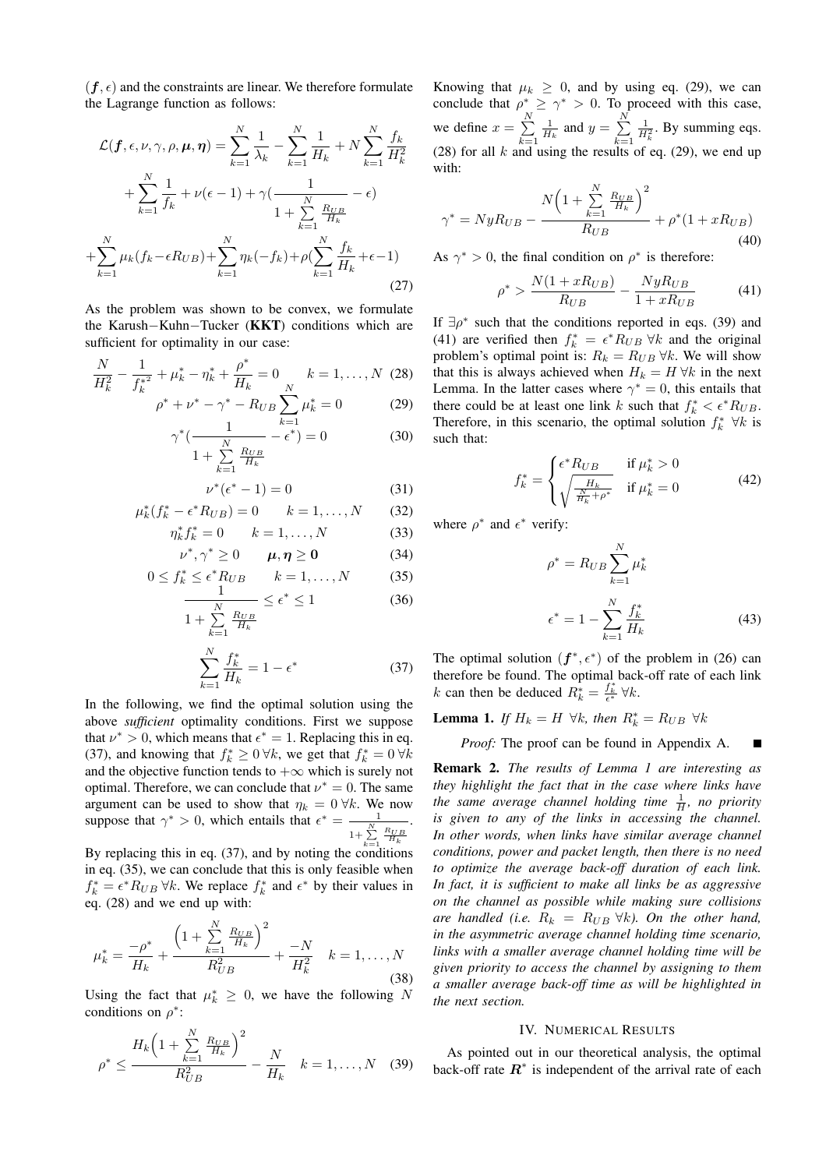$(f, \epsilon)$  and the constraints are linear. We therefore formulate the Lagrange function as follows:

$$
\mathcal{L}(\bm{f}, \epsilon, \nu, \gamma, \rho, \bm{\mu}, \bm{\eta}) = \sum_{k=1}^{N} \frac{1}{\lambda_k} - \sum_{k=1}^{N} \frac{1}{H_k} + N \sum_{k=1}^{N} \frac{f_k}{H_k^2} + \sum_{k=1}^{N} \frac{1}{f_k} + \nu(\epsilon - 1) + \gamma(\frac{1}{1 + \sum_{k=1}^{N} \frac{R_{UB}}{H_k}} - \epsilon) + \sum_{k=1}^{N} \mu_k(f_k - \epsilon R_{UB}) + \sum_{k=1}^{N} \eta_k(-f_k) + \rho(\sum_{k=1}^{N} \frac{f_k}{H_k} + \epsilon - 1)
$$
\n(27)

As the problem was shown to be convex, we formulate the Karush−Kuhn−Tucker (KKT) conditions which are sufficient for optimality in our case:

$$
\frac{N}{H_k^2} - \frac{1}{f_k^{*2}} + \mu_k^* - \eta_k^* + \frac{\rho^*}{H_k} = 0 \qquad k = 1, \dots, N \tag{28}
$$

ν ∗

$$
\rho^* + \nu^* - \gamma^* - R_{UB} \sum_{k=1}^{\infty} \mu_k^* = 0 \tag{29}
$$

$$
\gamma^* \left( \frac{1}{1 + \sum_{k=1}^N \frac{R_{UB}}{H_k}} - \epsilon^* \right) = 0 \tag{30}
$$

$$
(\epsilon^* - 1) = 0 \tag{31}
$$

$$
\mu_k^*(f_k^* - \epsilon^* R_{UB}) = 0 \qquad k = 1, \dots, N \qquad (32)
$$

$$
\eta_k^* f_k^* = 0 \qquad k = 1, ..., N \tag{33}
$$

$$
\nu^*, \gamma^* \ge 0 \qquad \mu, \eta \ge 0 \tag{34}
$$

$$
0 \le f_k^* \le \epsilon^* R_{UB} \qquad k = 1, \dots, N \tag{35}
$$

$$
\frac{1}{1 + \sum_{k=1}^{N} \frac{R_{UB}}{H_k}} \le \epsilon^* \le 1
$$
 (36)

$$
\sum_{k=1}^{N} \frac{f_k^*}{H_k} = 1 - \epsilon^* \tag{37}
$$

In the following, we find the optimal solution using the above *sufficient* optimality conditions. First we suppose that  $\nu^* > 0$ , which means that  $\epsilon^* = 1$ . Replacing this in eq. (37), and knowing that  $f_k^* \ge 0 \,\forall k$ , we get that  $f_k^* = 0 \,\forall k$ and the objective function tends to  $+\infty$  which is surely not optimal. Therefore, we can conclude that  $\nu^* = 0$ . The same argument can be used to show that  $\eta_k = 0 \forall k$ . We now suppose that  $\gamma^* > 0$ , which entails that  $\epsilon^* = \frac{1}{1 + \sum_{k=1}^N}$  $\frac{R_{UB}}{H_k}$ .

By replacing this in eq. (37), and by noting the conditions in eq. (35), we can conclude that this is only feasible when  $f_k^* = \epsilon^* R_{UB} \,\forall k$ . We replace  $f_k^*$  and  $\epsilon^*$  by their values in eq. (28) and we end up with:

$$
\mu_k^* = \frac{-\rho^*}{H_k} + \frac{\left(1 + \sum_{k=1}^N \frac{R_{UB}}{H_k}\right)^2}{R_{UB}^2} + \frac{-N}{H_k^2} \quad k = 1, \dots, N
$$
\n(38)

Using the fact that  $\mu_k^* \geq 0$ , we have the following N conditions on  $\rho^*$ :

$$
\rho^* \le \frac{H_k \left(1 + \sum_{k=1}^N \frac{R_{UB}}{H_k}\right)^2}{R_{UB}^2} - \frac{N}{H_k} \quad k = 1, ..., N \quad (39)
$$

Knowing that  $\mu_k \geq 0$ , and by using eq. (29), we can conclude that  $\rho^* \ge \gamma^* > 0$ . To proceed with this case, we define  $x = \sum_{n=1}^{N}$  $k=1$  $\frac{1}{H_k}$  and  $y = \sum_{k=1}^{N_k}$  $k=1$  $\frac{1}{H_k^2}$ . By summing eqs. (28) for all k and using the results of eq. (29), we end up with:

$$
\gamma^* = NyR_{UB} - \frac{N\left(1 + \sum_{k=1}^N \frac{R_{UB}}{H_k}\right)^2}{R_{UB}} + \rho^*(1 + xR_{UB})
$$
\n(40)

As  $\gamma^* > 0$ , the final condition on  $\rho^*$  is therefore:

$$
\rho^* > \frac{N(1 + xR_{UB})}{R_{UB}} - \frac{NyR_{UB}}{1 + xR_{UB}} \tag{41}
$$

If  $\exists \rho^*$  such that the conditions reported in eqs. (39) and (41) are verified then  $f_k^* = \epsilon^* R_{UB} \,\forall k$  and the original problem's optimal point is:  $R_k = R_{UB} \forall k$ . We will show that this is always achieved when  $H_k = H \forall k$  in the next Lemma. In the latter cases where  $\gamma^* = 0$ , this entails that there could be at least one link k such that  $f_k^* < \epsilon^* R_{UB}$ . Therefore, in this scenario, the optimal solution  $f_k^*$   $\forall k$  is such that:

$$
f_k^* = \begin{cases} \epsilon^* R_{UB} & \text{if } \mu_k^* > 0\\ \sqrt{\frac{H_k}{\frac{N}{H_k} + \rho^*}} & \text{if } \mu_k^* = 0 \end{cases}
$$
 (42)

where  $\rho^*$  and  $\epsilon^*$  verify:

$$
\rho^* = R_{UB} \sum_{k=1}^N \mu_k^*
$$
  

$$
\epsilon^* = 1 - \sum_{k=1}^N \frac{f_k^*}{H_k}
$$
 (43)

The optimal solution  $(f^*, \epsilon^*)$  of the problem in (26) can therefore be found. The optimal back-off rate of each link  $k$  can then be deduced  $R_k^* = \frac{f_k^*}{\epsilon^*} \forall k$ .

**Lemma 1.** If  $H_k = H \ \forall k$ , then  $R_k^* = R_{UB} \ \forall k$ 

*Proof:* The proof can be found in Appendix A.  $\blacksquare$ 

Remark 2. *The results of Lemma 1 are interesting as they highlight the fact that in the case where links have the same average channel holding time* <sup>1</sup> H *, no priority is given to any of the links in accessing the channel. In other words, when links have similar average channel conditions, power and packet length, then there is no need to optimize the average back-off duration of each link. In fact, it is sufficient to make all links be as aggressive on the channel as possible while making sure collisions are handled (i.e.*  $R_k = R_{UB} \forall k$ *). On the other hand, in the asymmetric average channel holding time scenario, links with a smaller average channel holding time will be given priority to access the channel by assigning to them a smaller average back-off time as will be highlighted in the next section.*

#### IV. NUMERICAL RESULTS

As pointed out in our theoretical analysis, the optimal back-off rate  $\mathbb{R}^*$  is independent of the arrival rate of each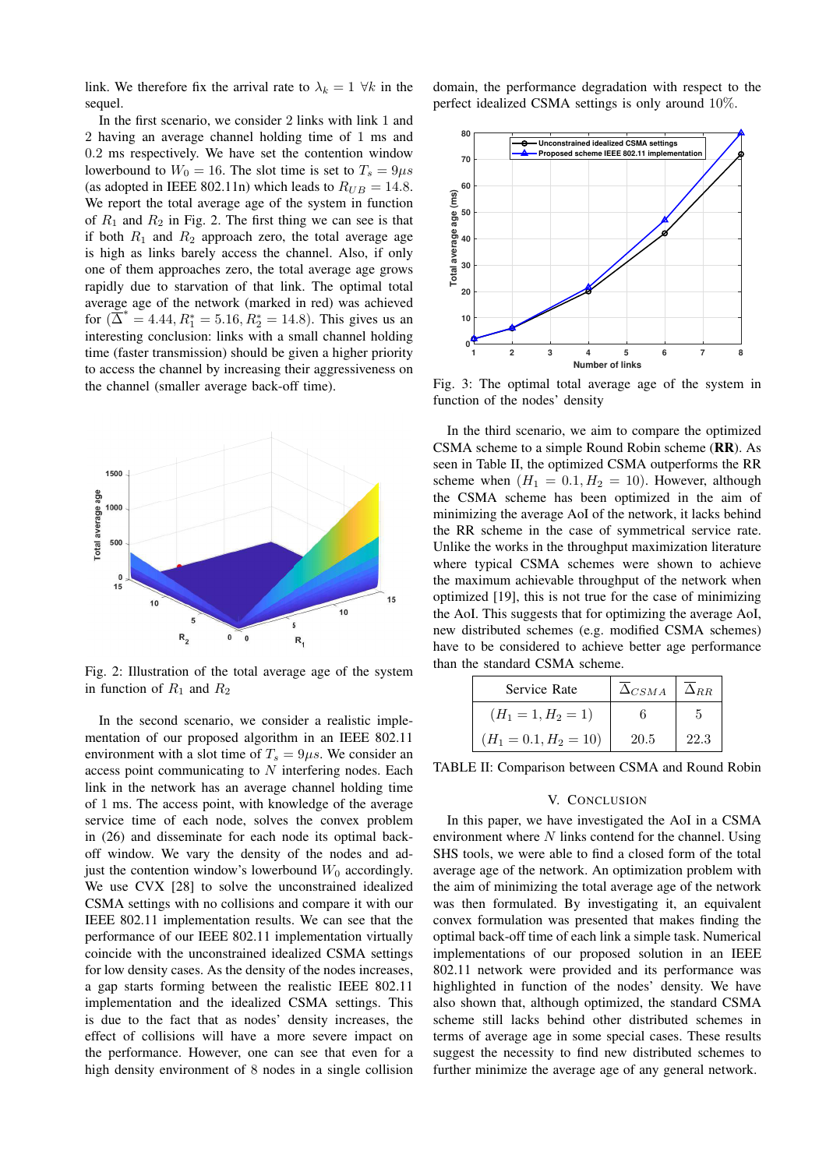link. We therefore fix the arrival rate to  $\lambda_k = 1 \ \forall k$  in the sequel.

In the first scenario, we consider 2 links with link 1 and 2 having an average channel holding time of 1 ms and 0.2 ms respectively. We have set the contention window lowerbound to  $W_0 = 16$ . The slot time is set to  $T_s = 9\mu s$ (as adopted in IEEE 802.11n) which leads to  $R_{UB} = 14.8$ . We report the total average age of the system in function of  $R_1$  and  $R_2$  in Fig. 2. The first thing we can see is that if both  $R_1$  and  $R_2$  approach zero, the total average age is high as links barely access the channel. Also, if only one of them approaches zero, the total average age grows rapidly due to starvation of that link. The optimal total average age of the network (marked in red) was achieved for  $(\overline{\Delta}^* = 4.44, R_1^* = 5.16, R_2^* = 14.8)$ . This gives us an interesting conclusion: links with a small channel holding time (faster transmission) should be given a higher priority to access the channel by increasing their aggressiveness on the channel (smaller average back-off time).



Fig. 2: Illustration of the total average age of the system in function of  $R_1$  and  $R_2$ 

In the second scenario, we consider a realistic implementation of our proposed algorithm in an IEEE 802.11 environment with a slot time of  $T_s = 9\mu s$ . We consider an access point communicating to N interfering nodes. Each link in the network has an average channel holding time of 1 ms. The access point, with knowledge of the average service time of each node, solves the convex problem in (26) and disseminate for each node its optimal backoff window. We vary the density of the nodes and adjust the contention window's lowerbound  $W_0$  accordingly. We use CVX [28] to solve the unconstrained idealized CSMA settings with no collisions and compare it with our IEEE 802.11 implementation results. We can see that the performance of our IEEE 802.11 implementation virtually coincide with the unconstrained idealized CSMA settings for low density cases. As the density of the nodes increases, a gap starts forming between the realistic IEEE 802.11 implementation and the idealized CSMA settings. This is due to the fact that as nodes' density increases, the effect of collisions will have a more severe impact on the performance. However, one can see that even for a high density environment of 8 nodes in a single collision

domain, the performance degradation with respect to the perfect idealized CSMA settings is only around 10%.



Fig. 3: The optimal total average age of the system in function of the nodes' density

In the third scenario, we aim to compare the optimized CSMA scheme to a simple Round Robin scheme (RR). As seen in Table II, the optimized CSMA outperforms the RR scheme when  $(H_1 = 0.1, H_2 = 10)$ . However, although the CSMA scheme has been optimized in the aim of minimizing the average AoI of the network, it lacks behind the RR scheme in the case of symmetrical service rate. Unlike the works in the throughput maximization literature where typical CSMA schemes were shown to achieve the maximum achievable throughput of the network when optimized [19], this is not true for the case of minimizing the AoI. This suggests that for optimizing the average AoI, new distributed schemes (e.g. modified CSMA schemes) have to be considered to achieve better age performance than the standard CSMA scheme.

| Service Rate            | $\Delta_{CSMA}$ | $\Delta_{RR}$ |
|-------------------------|-----------------|---------------|
| $(H_1 = 1, H_2 = 1)$    |                 |               |
| $(H_1 = 0.1, H_2 = 10)$ | 20.5            | 22.3          |

TABLE II: Comparison between CSMA and Round Robin

## V. CONCLUSION

In this paper, we have investigated the AoI in a CSMA environment where  $N$  links contend for the channel. Using SHS tools, we were able to find a closed form of the total average age of the network. An optimization problem with the aim of minimizing the total average age of the network was then formulated. By investigating it, an equivalent convex formulation was presented that makes finding the optimal back-off time of each link a simple task. Numerical implementations of our proposed solution in an IEEE 802.11 network were provided and its performance was highlighted in function of the nodes' density. We have also shown that, although optimized, the standard CSMA scheme still lacks behind other distributed schemes in terms of average age in some special cases. These results suggest the necessity to find new distributed schemes to further minimize the average age of any general network.